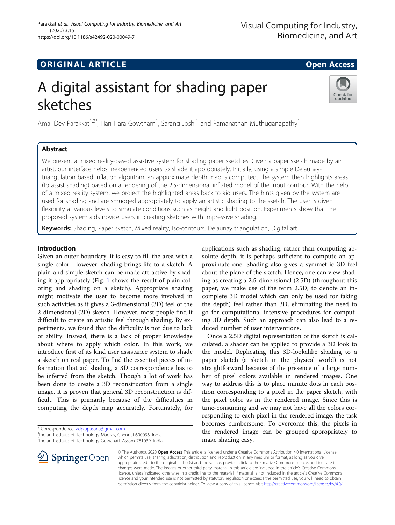(2020) 3:15

Parakkat et al. Visual Computing for Industry, Biomedicine, and Art

# Check for updates

sketches

A digital assistant for shading paper

Amal Dev Parakkat $^{1,2^*}$ , Hari Hara Gowtham $^1$ , Sarang Joshi $^1$  and Ramanathan Muthuganapathy $^1$ 

# Abstract

We present a mixed reality-based assistive system for shading paper sketches. Given a paper sketch made by an artist, our interface helps inexperienced users to shade it appropriately. Initially, using a simple Delaunaytriangulation based inflation algorithm, an approximate depth map is computed. The system then highlights areas (to assist shading) based on a rendering of the 2.5-dimensional inflated model of the input contour. With the help of a mixed reality system, we project the highlighted areas back to aid users. The hints given by the system are used for shading and are smudged appropriately to apply an artistic shading to the sketch. The user is given flexibility at various levels to simulate conditions such as height and light position. Experiments show that the proposed system aids novice users in creating sketches with impressive shading.

Keywords: Shading, Paper sketch, Mixed reality, Iso-contours, Delaunay triangulation, Digital art

## Introduction

Given an outer boundary, it is easy to fill the area with a single color. However, shading brings life to a sketch. A plain and simple sketch can be made attractive by shading it appropriately (Fig. [1](#page-1-0) shows the result of plain coloring and shading on a sketch). Appropriate shading might motivate the user to become more involved in such activities as it gives a 3-dimensional (3D) feel of the 2-dimensional (2D) sketch. However, most people find it difficult to create an artistic feel through shading. By experiments, we found that the difficulty is not due to lack of ability. Instead, there is a lack of proper knowledge about where to apply which color. In this work, we introduce first of its kind user assistance system to shade a sketch on real paper. To find the essential pieces of information that aid shading, a 3D correspondence has to be inferred from the sketch. Though a lot of work has been done to create a 3D reconstruction from a single image, it is proven that general 3D reconstruction is difficult. This is primarily because of the difficulties in computing the depth map accurately. Fortunately, for

<sup>1</sup>Indian Institute of Technology Madras, Chennai 600036, India 2 Indian Institute of Technology Guwahati, Assam 781039, India applications such as shading, rather than computing absolute depth, it is perhaps sufficient to compute an approximate one. Shading also gives a symmetric 3D feel about the plane of the sketch. Hence, one can view shading as creating a 2.5-dimensional (2.5D) (throughout this paper, we make use of the term 2.5D, to denote an incomplete 3D model which can only be used for faking the depth) feel rather than 3D, eliminating the need to go for computational intensive procedures for computing 3D depth. Such an approach can also lead to a reduced number of user interventions.

Once a 2.5D digital representation of the sketch is calculated, a shader can be applied to provide a 3D look to the model. Replicating this 3D-lookalike shading to a paper sketch (a sketch in the physical world) is not straightforward because of the presence of a large number of pixel colors available in rendered images. One way to address this is to place minute dots in each position corresponding to a pixel in the paper sketch, with the pixel color as in the rendered image. Since this is time-consuming and we may not have all the colors corresponding to each pixel in the rendered image, the task becomes cumbersome. To overcome this, the pixels in the rendered image can be grouped appropriately to make shading easy.



© The Author(s). 2020 Open Access This article is licensed under a Creative Commons Attribution 4.0 International License, which permits use, sharing, adaptation, distribution and reproduction in any medium or format, as long as you give appropriate credit to the original author(s) and the source, provide a link to the Creative Commons licence, and indicate if changes were made. The images or other third party material in this article are included in the article's Creative Commons licence, unless indicated otherwise in a credit line to the material. If material is not included in the article's Creative Commons licence and your intended use is not permitted by statutory regulation or exceeds the permitted use, you will need to obtain permission directly from the copyright holder. To view a copy of this licence, visit <http://creativecommons.org/licenses/by/4.0/>.

<sup>\*</sup> Correspondence: [adp.upasana@gmail.com](mailto:adp.upasana@gmail.com)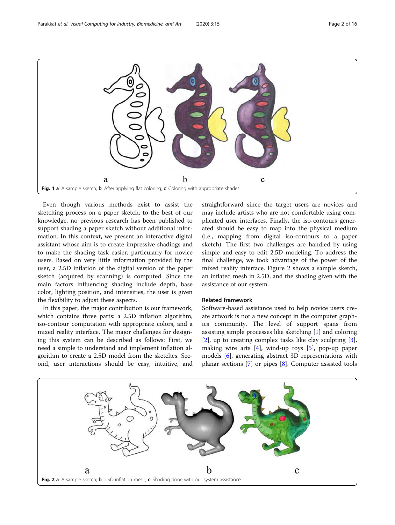<span id="page-1-0"></span>

Even though various methods exist to assist the sketching process on a paper sketch, to the best of our knowledge, no previous research has been published to support shading a paper sketch without additional information. In this context, we present an interactive digital assistant whose aim is to create impressive shadings and to make the shading task easier, particularly for novice users. Based on very little information provided by the user, a 2.5D inflation of the digital version of the paper sketch (acquired by scanning) is computed. Since the main factors influencing shading include depth, base color, lighting position, and intensities, the user is given the flexibility to adjust these aspects.

In this paper, the major contribution is our framework, which contains three parts: a 2.5D inflation algorithm, iso-contour computation with appropriate colors, and a mixed reality interface. The major challenges for designing this system can be described as follows: First, we need a simple to understand and implement inflation algorithm to create a 2.5D model from the sketches. Second, user interactions should be easy, intuitive, and straightforward since the target users are novices and may include artists who are not comfortable using complicated user interfaces. Finally, the iso-contours generated should be easy to map into the physical medium (i.e., mapping from digital iso-contours to a paper sketch). The first two challenges are handled by using simple and easy to edit 2.5D modeling. To address the final challenge, we took advantage of the power of the mixed reality interface. Figure 2 shows a sample sketch, an inflated mesh in 2.5D, and the shading given with the assistance of our system.

### Related framework

Software-based assistance used to help novice users create artwork is not a new concept in the computer graphics community. The level of support spans from assisting simple processes like sketching [[1\]](#page-14-0) and coloring [[2\]](#page-14-0), up to creating complex tasks like clay sculpting [\[3](#page-14-0)], making wire arts  $[4]$ , wind-up toys  $[5]$  $[5]$  $[5]$ , pop-up paper models [\[6\]](#page-14-0), generating abstract 3D representations with planar sections [\[7](#page-14-0)] or pipes [\[8](#page-14-0)]. Computer assisted tools

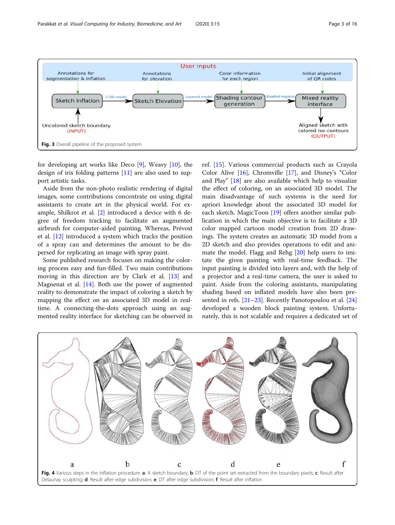<span id="page-2-0"></span>

for developing art works like Deco  $[9]$  $[9]$ , Weavy  $[10]$  $[10]$  $[10]$ , the design of iris folding patterns [\[11](#page-14-0)] are also used to support artistic tasks.

Aside from the non-photo realistic rendering of digital images, some contributions concentrate on using digital assistants to create art in the physical world. For example, Shilkrot et al. [\[2](#page-14-0)] introduced a device with 6 degree of freedom tracking to facilitate an augmented airbrush for computer-aided painting. Whereas, Prévost et al. [\[12\]](#page-14-0) introduced a system which tracks the position of a spray can and determines the amount to be dispersed for replicating an image with spray paint.

Some published research focuses on making the coloring process easy and fun-filled. Two main contributions moving in this direction are by Clark et al. [\[13](#page-14-0)] and Magnenat et al. [[14\]](#page-14-0). Both use the power of augmented reality to demonstrate the impact of coloring a sketch by mapping the effect on an associated 3D model in realtime. A connecting-the-dots approach using an augmented reality interface for sketching can be observed in

ref. [\[15\]](#page-14-0). Various commercial products such as Crayola Color Alive [\[16](#page-14-0)], Chromville [\[17](#page-14-0)], and Disney's "Color and Play" [\[18\]](#page-14-0) are also available which help to visualize the effect of coloring, on an associated 3D model. The main disadvantage of such systems is the need for apriori knowledge about the associated 3D model for each sketch. MagicToon [[19](#page-14-0)] offers another similar publication in which the main objective is to facilitate a 3D color mapped cartoon model creation from 2D drawings. The system creates an automatic 3D model from a 2D sketch and also provides operations to edit and animate the model. Flagg and Rehg [\[20](#page-14-0)] help users to imitate the given painting with real-time feedback. The input painting is divided into layers and, with the help of a projector and a real-time camera, the user is asked to paint. Aside from the coloring assistants, manipulating shading based on inflated models have also been pre-sented in refs. [[21](#page-14-0)–[23\]](#page-14-0). Recently Panotopoulou et al. [[24](#page-14-0)] developed a wooden block painting system. Unfortunately, this is not scalable and requires a dedicated set of

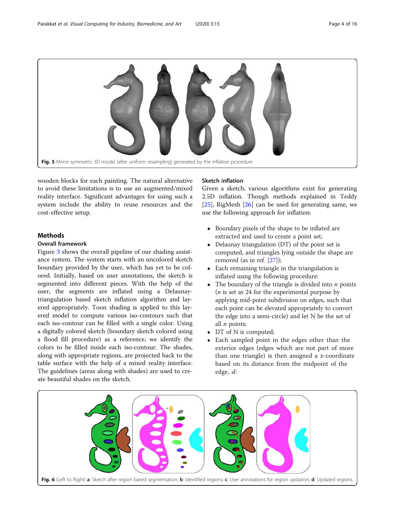<span id="page-3-0"></span>

wooden blocks for each painting. The natural alternative to avoid these limitations is to use an augmented/mixed reality interface. Significant advantages for using such a system include the ability to reuse resources and the cost-effective setup.

### **Methods**

#### Overall framework

Figure [3](#page-2-0) shows the overall pipeline of our shading assistance system. The system starts with an uncolored sketch boundary provided by the user, which has yet to be colored. Initially, based on user annotations, the sketch is segmented into different pieces. With the help of the user, the segments are inflated using a Delaunaytriangulation based sketch inflation algorithm and layered appropriately. Toon shading is applied to this layered model to compute various iso-contours such that each iso-contour can be filled with a single color. Using a digitally colored sketch (boundary sketch colored using a flood fill procedure) as a reference, we identify the colors to be filled inside each iso-contour. The shades, along with appropriate regions, are projected back to the table surface with the help of a mixed reality interface. The guidelines (areas along with shades) are used to create beautiful shades on the sketch.

#### Sketch inflation

Given a sketch, various algorithms exist for generating 2.5D inflation. Though methods explained in Teddy [[25\]](#page-14-0), RigMesh [\[26](#page-15-0)] can be used for generating same, we use the following approach for inflation:

- Boundary pixels of the shape to be inflated are extracted and used to create a point set;
- Delaunay triangulation (DT) of the point set is computed, and triangles lying outside the shape are removed (as in ref. [\[27](#page-15-0)]);
- Each remaining triangle in the triangulation is inflated using the following procedure:
- The boundary of the triangle is divided into  $n$  points ( $n$  is set as 24 for the experimental purpose by applying mid-point subdivision on edges, such that each point can be elevated appropriately to convert the edge into a semi-circle) and let N be the set of all  $n$  points;
- DT of N is computed;
- Each sampled point in the edges other than the exterior edges (edges which are not part of more than one triangle) is then assigned a z-coordinate based on its distance from the midpoint of the edge, d:

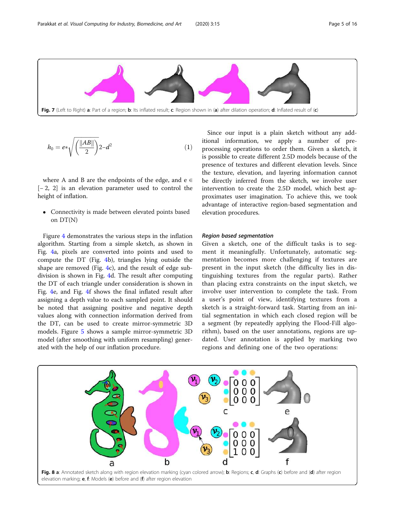<span id="page-4-0"></span>

$$
h_0 = e^* \sqrt{\left(\frac{\|AB\|}{2}\right)} 2 - d^2 \tag{1}
$$

where A and B are the endpoints of the edge, and  $e \in$ [− 2, 2] is an elevation parameter used to control the height of inflation.

 Connectivity is made between elevated points based on DT(N)

Figure [4](#page-2-0) demonstrates the various steps in the inflation algorithm. Starting from a simple sketch, as shown in Fig. [4](#page-2-0)a, pixels are converted into points and used to compute the DT (Fig. [4b](#page-2-0)), triangles lying outside the shape are removed (Fig. [4](#page-2-0)c), and the result of edge subdivision is shown in Fig. [4d](#page-2-0). The result after computing the DT of each triangle under consideration is shown in Fig. [4](#page-2-0)e, and Fig. [4](#page-2-0)f shows the final inflated result after assigning a depth value to each sampled point. It should be noted that assigning positive and negative depth values along with connection information derived from the DT, can be used to create mirror-symmetric 3D models. Figure [5](#page-3-0) shows a sample mirror-symmetric 3D model (after smoothing with uniform resampling) generated with the help of our inflation procedure.

Since our input is a plain sketch without any additional information, we apply a number of preprocessing operations to order them. Given a sketch, it is possible to create different 2.5D models because of the presence of textures and different elevation levels. Since the texture, elevation, and layering information cannot be directly inferred from the sketch, we involve user intervention to create the 2.5D model, which best approximates user imagination. To achieve this, we took advantage of interactive region-based segmentation and elevation procedures.

#### Region based segmentation

Given a sketch, one of the difficult tasks is to segment it meaningfully. Unfortunately, automatic segmentation becomes more challenging if textures are present in the input sketch (the difficulty lies in distinguishing textures from the regular parts). Rather than placing extra constraints on the input sketch, we involve user intervention to complete the task. From a user's point of view, identifying textures from a sketch is a straight-forward task. Starting from an initial segmentation in which each closed region will be a segment (by repeatedly applying the Flood-Fill algorithm), based on the user annotations, regions are updated. User annotation is applied by marking two regions and defining one of the two operations:

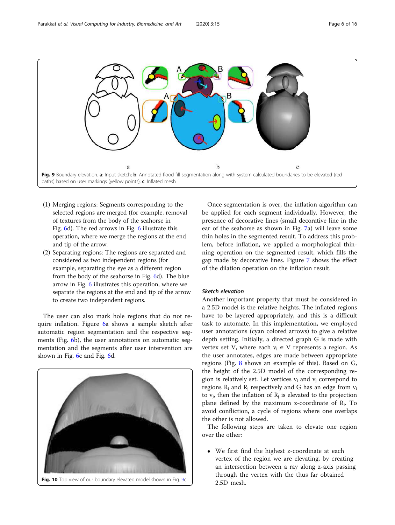<span id="page-5-0"></span>

- (1) Merging regions: Segments corresponding to the selected regions are merged (for example, removal of textures from the body of the seahorse in Fig. [6](#page-3-0)d). The red arrows in Fig. [6](#page-3-0) illustrate this operation, where we merge the regions at the end and tip of the arrow.
- (2) Separating regions: The regions are separated and considered as two independent regions (for example, separating the eye as a different region from the body of the seahorse in Fig. [6](#page-3-0)d). The blue arrow in Fig. [6](#page-3-0) illustrates this operation, where we separate the regions at the end and tip of the arrow to create two independent regions.

The user can also mark hole regions that do not require inflation. Figure [6](#page-3-0)a shows a sample sketch after automatic region segmentation and the respective segments (Fig. [6b](#page-3-0)), the user annotations on automatic segmentation and the segments after user intervention are shown in Fig. [6](#page-3-0)c and Fig. [6](#page-3-0)d.



Fig. 10 Top view of our boundary elevated model shown in Fig. 9c

Once segmentation is over, the inflation algorithm can be applied for each segment individually. However, the presence of decorative lines (small decorative line in the ear of the seahorse as shown in Fig. [7a](#page-4-0)) will leave some thin holes in the segmented result. To address this problem, before inflation, we applied a morphological thinning operation on the segmented result, which fills the gap made by decorative lines. Figure [7](#page-4-0) shows the effect of the dilation operation on the inflation result.

#### Sketch elevation

Another important property that must be considered in a 2.5D model is the relative heights. The inflated regions have to be layered appropriately, and this is a difficult task to automate. In this implementation, we employed user annotations (cyan colored arrows) to give a relative depth setting. Initially, a directed graph G is made with vertex set V, where each  $v_i \in V$  represents a region. As the user annotates, edges are made between appropriate regions (Fig. [8](#page-4-0) shows an example of this). Based on G, the height of the 2.5D model of the corresponding region is relatively set. Let vertices  $v_i$  and  $v_i$  correspond to regions  $R_i$  and  $R_j$  respectively and G has an edge from  $v_i$ to  $v_j$ , then the inflation of  $R_j$  is elevated to the projection plane defined by the maximum z-coordinate of  $R_i$ . To avoid confliction, a cycle of regions where one overlaps the other is not allowed.

The following steps are taken to elevate one region over the other:

 We first find the highest z-coordinate at each vertex of the region we are elevating, by creating an intersection between a ray along z-axis passing through the vertex with the thus far obtained 2.5D mesh.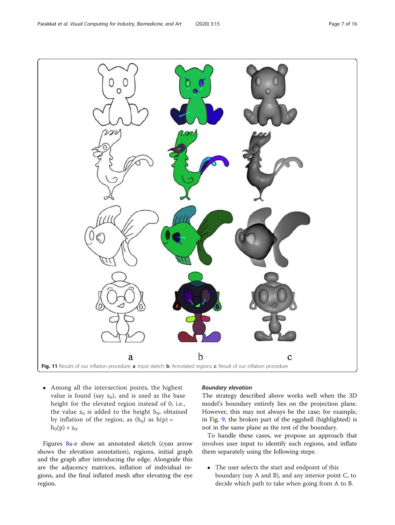<span id="page-6-0"></span>

 Among all the intersection points, the highest value is found (say  $\rm z_{0}$ ), and is used as the base height for the elevated region instead of 0, i.e., the value  $z_0$  is added to the height  $h_0$ , obtained by inflation of the region, as  $(h_0)$  as  $h(p)$  =  $h_0(p) + z_0$ .

Figures [8](#page-4-0)a-e show an annotated sketch (cyan arrow shows the elevation annotation), regions, initial graph and the graph after introducing the edge. Alongside this are the adjacency matrices, inflation of individual regions, and the final inflated mesh after elevating the eye region.

#### Boundary elevation

The strategy described above works well when the 3D model's boundary entirely lies on the projection plane. However, this may not always be the case; for example, in Fig. [9](#page-5-0), the broken part of the eggshell (highlighted) is not in the same plane as the rest of the boundary.

To handle these cases, we propose an approach that involves user input to identify such regions, and inflate them separately using the following steps:

 The user selects the start and endpoint of this boundary (say A and B), and any interior point C, to decide which path to take when going from A to B.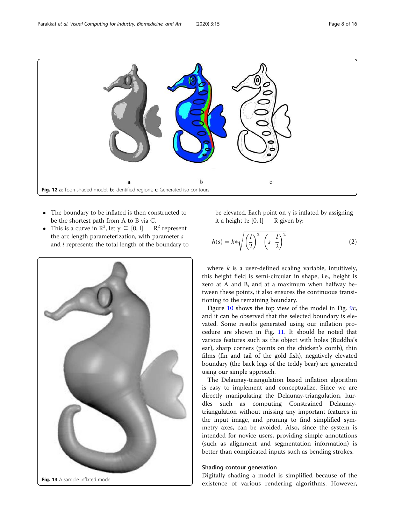<span id="page-7-0"></span>

- The boundary to be inflated is then constructed to be the shortest path from A to B via C.
- This is a curve in  $\mathbb{R}^2$ , let  $\gamma \in [0, 1]$   $\mathbb{R}^2$  $R^2$  represent the arc length parameterization, with parameter s and l represents the total length of the boundary to



be elevated. Each point on  $\gamma$  is inflated by assigning it a height h: [0, 1] R given by: it a height h:  $[0, 1]$ 

$$
h(s) = k \sqrt{\left(\frac{l}{2}\right)^2 - \left(s - \frac{l}{2}\right)^2} \tag{2}
$$

where  $k$  is a user-defined scaling variable, intuitively, this height field is semi-circular in shape, i.e., height is zero at A and B, and at a maximum when halfway between these points, it also ensures the continuous transitioning to the remaining boundary.

Figure [10](#page-5-0) shows the top view of the model in Fig. [9](#page-5-0)c, and it can be observed that the selected boundary is elevated. Some results generated using our inflation procedure are shown in Fig. [11.](#page-6-0) It should be noted that various features such as the object with holes (Buddha's ear), sharp corners (points on the chicken's comb), thin films (fin and tail of the gold fish), negatively elevated boundary (the back legs of the teddy bear) are generated using our simple approach.

The Delaunay-triangulation based inflation algorithm is easy to implement and conceptualize. Since we are directly manipulating the Delaunay-triangulation, hurdles such as computing Constrained Delaunaytriangulation without missing any important features in the input image, and pruning to find simplified symmetry axes, can be avoided. Also, since the system is intended for novice users, providing simple annotations (such as alignment and segmentation information) is better than complicated inputs such as bending strokes.

#### Shading contour generation

Digitally shading a model is simplified because of the existence of various rendering algorithms. However,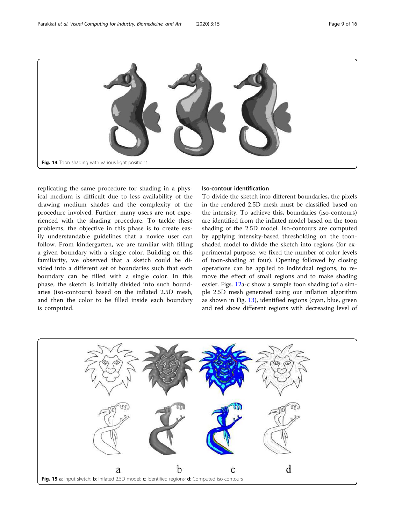<span id="page-8-0"></span>

replicating the same procedure for shading in a physical medium is difficult due to less availability of the drawing medium shades and the complexity of the procedure involved. Further, many users are not experienced with the shading procedure. To tackle these problems, the objective in this phase is to create easily understandable guidelines that a novice user can follow. From kindergarten, we are familiar with filling a given boundary with a single color. Building on this familiarity, we observed that a sketch could be divided into a different set of boundaries such that each boundary can be filled with a single color. In this phase, the sketch is initially divided into such boundaries (iso-contours) based on the inflated 2.5D mesh, and then the color to be filled inside each boundary is computed.

#### Iso-contour identification

To divide the sketch into different boundaries, the pixels in the rendered 2.5D mesh must be classified based on the intensity. To achieve this, boundaries (iso-contours) are identified from the inflated model based on the toon shading of the 2.5D model. Iso-contours are computed by applying intensity-based thresholding on the toonshaded model to divide the sketch into regions (for experimental purpose, we fixed the number of color levels of toon-shading at four). Opening followed by closing operations can be applied to individual regions, to remove the effect of small regions and to make shading easier. Figs. [12](#page-7-0)a-c show a sample toon shading (of a simple 2.5D mesh generated using our inflation algorithm as shown in Fig. [13\)](#page-7-0), identified regions (cyan, blue, green and red show different regions with decreasing level of

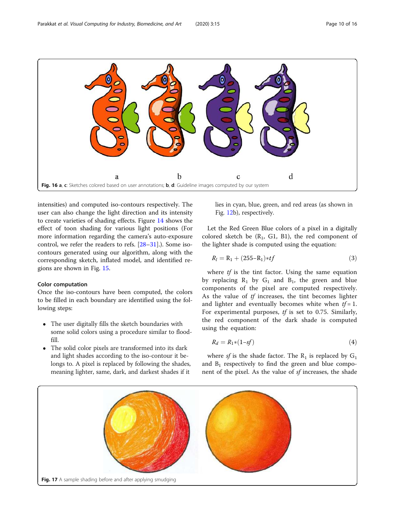<span id="page-9-0"></span>

intensities) and computed iso-contours respectively. The user can also change the light direction and its intensity to create varieties of shading effects. Figure [14](#page-8-0) shows the effect of toon shading for various light positions (For more information regarding the camera's auto-exposure control, we refer the readers to refs. [[28](#page-15-0)–[31](#page-15-0)].). Some isocontours generated using our algorithm, along with the corresponding sketch, inflated model, and identified regions are shown in Fig. [15](#page-8-0).

#### Color computation

Once the iso-contours have been computed, the colors to be filled in each boundary are identified using the following steps:

- The user digitally fills the sketch boundaries with some solid colors using a procedure similar to floodfill.
- The solid color pixels are transformed into its dark and light shades according to the iso-contour it belongs to. A pixel is replaced by following the shades, meaning lighter, same, dark, and darkest shades if it

lies in cyan, blue, green, and red areas (as shown in Fig. [12](#page-7-0)b), respectively.

Let the Red Green Blue colors of a pixel in a digitally colored sketch be  $(R_1, G_1, B_1)$ , the red component of the lighter shade is computed using the equation:

$$
R_l = R_1 + (255 - R_1) * tf \tag{3}
$$

where  $tf$  is the tint factor. Using the same equation by replacing  $R_1$  by  $G_1$  and  $B_1$ , the green and blue components of the pixel are computed respectively. As the value of tf increases, the tint becomes lighter and lighter and eventually becomes white when  $tf = 1$ . For experimental purposes, tf is set to 0.75. Similarly, the red component of the dark shade is computed using the equation:

$$
R_d = R_1 * (1 - sf) \tag{4}
$$

where sf is the shade factor. The  $R_1$  is replaced by  $G_1$ and  $B_1$  respectively to find the green and blue component of the pixel. As the value of sf increases, the shade

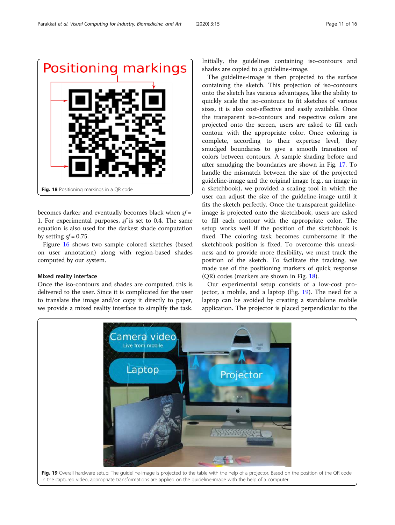

becomes darker and eventually becomes black when  $sf =$ 1. For experimental purposes, sf is set to 0.4. The same equation is also used for the darkest shade computation by setting  $sf = 0.75$ .

Figure [16](#page-9-0) shows two sample colored sketches (based on user annotation) along with region-based shades computed by our system.

#### Mixed reality interface

Once the iso-contours and shades are computed, this is delivered to the user. Since it is complicated for the user to translate the image and/or copy it directly to paper, we provide a mixed reality interface to simplify the task. Initially, the guidelines containing iso-contours and shades are copied to a guideline-image.

The guideline-image is then projected to the surface containing the sketch. This projection of iso-contours onto the sketch has various advantages, like the ability to quickly scale the iso-contours to fit sketches of various sizes, it is also cost-effective and easily available. Once the transparent iso-contours and respective colors are projected onto the screen, users are asked to fill each contour with the appropriate color. Once coloring is complete, according to their expertise level, they smudged boundaries to give a smooth transition of colors between contours. A sample shading before and after smudging the boundaries are shown in Fig. [17](#page-9-0). To handle the mismatch between the size of the projected guideline-image and the original image (e.g., an image in a sketchbook), we provided a scaling tool in which the user can adjust the size of the guideline-image until it fits the sketch perfectly. Once the transparent guidelineimage is projected onto the sketchbook, users are asked to fill each contour with the appropriate color. The setup works well if the position of the sketchbook is fixed. The coloring task becomes cumbersome if the sketchbook position is fixed. To overcome this uneasiness and to provide more flexibility, we must track the position of the sketch. To facilitate the tracking, we made use of the positioning markers of quick response (QR) codes (markers are shown in Fig. 18).

Our experimental setup consists of a low-cost projector, a mobile, and a laptop (Fig. 19). The need for a laptop can be avoided by creating a standalone mobile application. The projector is placed perpendicular to the

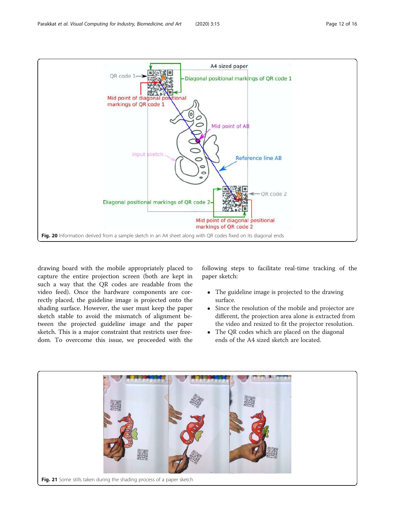<span id="page-11-0"></span>

drawing board with the mobile appropriately placed to capture the entire projection screen (both are kept in such a way that the QR codes are readable from the video feed). Once the hardware components are correctly placed, the guideline image is projected onto the shading surface. However, the user must keep the paper sketch stable to avoid the mismatch of alignment between the projected guideline image and the paper sketch. This is a major constraint that restricts user freedom. To overcome this issue, we proceeded with the

following steps to facilitate real-time tracking of the paper sketch:

- The guideline image is projected to the drawing surface.
- Since the resolution of the mobile and projector are different, the projection area alone is extracted from the video and resized to fit the projector resolution.
- The QR codes which are placed on the diagonal ends of the A4 sized sketch are located.

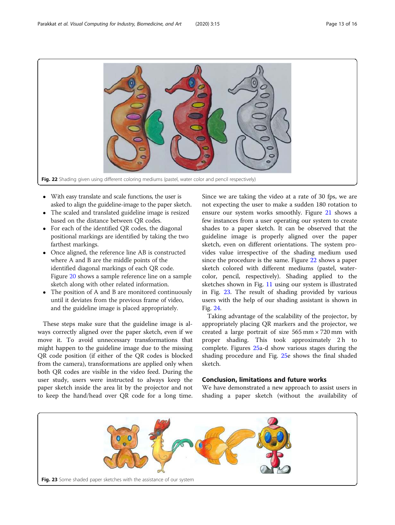

- With easy translate and scale functions, the user is asked to align the guideline-image to the paper sketch.
- The scaled and translated guideline image is resized based on the distance between QR codes.
- For each of the identified QR codes, the diagonal positional markings are identified by taking the two farthest markings.
- Once aligned, the reference line AB is constructed where A and B are the middle points of the identified diagonal markings of each QR code. Figure [20](#page-11-0) shows a sample reference line on a sample sketch along with other related information.
- The position of A and B are monitored continuously until it deviates from the previous frame of video, and the guideline image is placed appropriately.

These steps make sure that the guideline image is always correctly aligned over the paper sketch, even if we move it. To avoid unnecessary transformations that might happen to the guideline image due to the missing QR code position (if either of the QR codes is blocked from the camera), transformations are applied only when both QR codes are visible in the video feed. During the user study, users were instructed to always keep the paper sketch inside the area lit by the projector and not to keep the hand/head over QR code for a long time. Since we are taking the video at a rate of 30 fps, we are not expecting the user to make a sudden 180 rotation to ensure our system works smoothly. Figure [21](#page-11-0) shows a few instances from a user operating our system to create shades to a paper sketch. It can be observed that the guideline image is properly aligned over the paper sketch, even on different orientations. The system provides value irrespective of the shading medium used since the procedure is the same. Figure 22 shows a paper sketch colored with different mediums (pastel, watercolor, pencil, respectively). Shading applied to the sketches shown in Fig. [11](#page-6-0) using our system is illustrated in Fig. 23. The result of shading provided by various users with the help of our shading assistant is shown in Fig. [24.](#page-13-0)

Taking advantage of the scalability of the projector, by appropriately placing QR markers and the projector, we created a large portrait of size  $565$  mm  $\times$  720 mm with proper shading. This took approximately 2 h to complete. Figures [25](#page-13-0)a-d show various stages during the shading procedure and Fig. [25e](#page-13-0) shows the final shaded sketch.

#### Conclusion, limitations and future works

We have demonstrated a new approach to assist users in shading a paper sketch (without the availability of

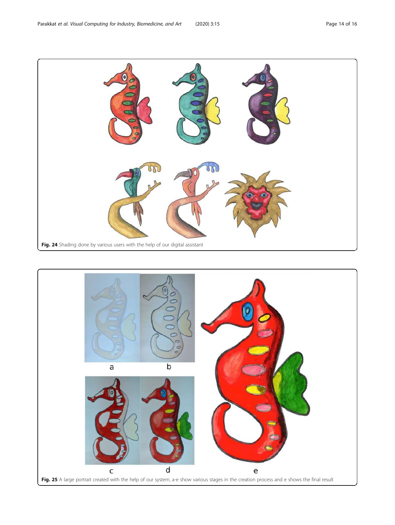<span id="page-13-0"></span>

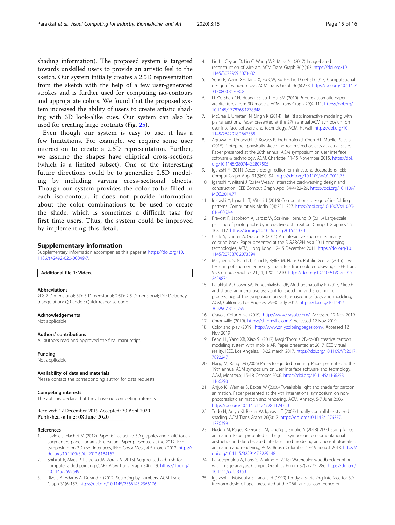<span id="page-14-0"></span>shading information). The proposed system is targeted towards unskilled users to provide an artistic feel to the sketch. Our system initially creates a 2.5D representation from the sketch with the help of a few user-generated strokes and is further used for computing iso-contours and appropriate colors. We found that the proposed system increased the ability of users to create artistic shading with 3D look-alike cues. Our system can also be used for creating large portraits (Fig. [25](#page-13-0)).

Even though our system is easy to use, it has a few limitations. For example, we require some user interaction to create a 2.5D representation. Further, we assume the shapes have elliptical cross-sections (which is a limited subset). One of the interesting future directions could be to generalize 2.5D modeling by including varying cross-sectional objects. Though our system provides the color to be filled in each iso-contour, it does not provide information about the color combinations to be used to create the shade, which is sometimes a difficult task for first time users. Thus, the system could be improved by implementing this detail.

#### Supplementary information

Supplementary information accompanies this paper at [https://doi.org/10.](https://doi.org/10.1186/s42492-020-00049-7) [1186/s42492-020-00049-7](https://doi.org/10.1186/s42492-020-00049-7).

#### Additional file 1: Video.

#### Abbreviations

2D: 2-Dimensional; 3D: 3-Dimensional; 2.5D: 2.5-Dimensional; DT: Delaunay triangulation; QR code : Quick response code

#### Acknowledgements

Not applicable.

#### Authors' contributions

All authors read and approved the final manuscript.

#### Funding

Not applicable.

#### Availability of data and materials

Please contact the corresponding author for data requests.

#### Competing interests

The authors declare that they have no competing interests.

#### Received: 12 December 2019 Accepted: 30 April 2020 Published online: 08 June 2020

#### References

- 1. Laviole J, Hachet M (2012) PapARt: interactive 3D graphics and multi-touch augmented paper for artistic creation. Paper presented at the 2012 IEEE symposium on 3D user interfaces, IEEE, Costa Mesa, 4-5 march 2012. [https://](https://doi.org/10.1109/3DUI.2012.6184167) [doi.org/10.1109/3DUI.2012.6184167](https://doi.org/10.1109/3DUI.2012.6184167)
- 2. Shilkrot R, Maes P, Paradiso JA, Zoran A (2015) Augmented airbrush for computer aided painting (CAP). ACM Trans Graph 34(2):19. [https://doi.org/](https://doi.org/10.1145/2699649) [10.1145/2699649](https://doi.org/10.1145/2699649)
- 3. Rivers A, Adams A, Durand F (2012) Sculpting by numbers. ACM Trans Graph 31(6):157. <https://doi.org/10.1145/2366145.2366176>
- 4. Liu LJ, Ceylan D, Lin C, Wang WP, Mitra NJ (2017) Image-based reconstruction of wire art. ACM Trans Graph 36(4):63. [https://doi.org/10.](https://doi.org/10.1145/3072959.3073682) [1145/3072959.3073682](https://doi.org/10.1145/3072959.3073682)
- 5. Song P, Wang XF, Tang X, Fu CW, Xu HF, Liu LG et al (2017) Computational design of wind-up toys. ACM Trans Graph 36(6):238. [https://doi.org/10.1145/](https://doi.org/10.1145/3130800.3130808) [3130800.3130808](https://doi.org/10.1145/3130800.3130808)
- 6. Li XY, Shen CH, Huang SS, Ju T, Hu SM (2010) Popup: automatic paper architectures from 3D models. ACM Trans Graph 29(4):111. [https://doi.org/](https://doi.org/10.1145/1778765.1778848) [10.1145/1778765.1778848](https://doi.org/10.1145/1778765.1778848)
- 7. McCrae J, Umetani N, Singh K (2014) FlatFitFab: interactive modeling with planar sections. Paper presented at the 27th annual ACM symposium on user interface software and technology. ACM, Hawaii. [https://doi.org/10.](https://doi.org/10.1145/2642918.2647388) [1145/2642918.2647388](https://doi.org/10.1145/2642918.2647388)
- 8. Agrawal H, Umapathi U, Kovacs R, Frohnhofen J, Chen HT, Mueller S, et al (2015) Protopiper: physically sketching room-sized objects at actual scale. Paper presented at the 28th annual ACM symposium on user interface software & technology, ACM, Charlotte, 11-15 November 2015. [https://doi.](https://doi.org/10.1145/2807442.2807505) [org/10.1145/2807442.2807505](https://doi.org/10.1145/2807442.2807505)
- 9. Igarashi Y (2011) Deco: a design editor for rhinestone decorations. IEEE Comput Graph Appl 31(5):90–94. <https://doi.org/10.1109/MCG.2011.73>
- 10. Igarashi Y, Mitani J (2014) Weavy: interactive card-weaving design and construction. IEEE Comput Graph Appl 34(4):22–29. [https://doi.org/10.1109/](https://doi.org/10.1109/MCG.2014.77) [MCG.2014.77](https://doi.org/10.1109/MCG.2014.77)
- 11. Igarashi Y, Igarashi T, Mitani J (2016) Computational design of iris folding patterns. Computat Vis Media 2(4):321–327. [https://doi.org/10.1007/s41095-](https://doi.org/10.1007/s41095-016-0062-4) [016-0062-4](https://doi.org/10.1007/s41095-016-0062-4)
- 12. Prévost R, Jacobson A, Jarosz W, Sorkine-Hornung O (2016) Large-scale painting of photographs by interactive optimization. Comput Graphics 55: 108–117. <https://doi.org/10.1016/j.cag.2015.11.001>
- 13. Clark A, Dünser A, Grasset R (2011) An interactive augmented reality coloring book. Paper presented at the SIGGRAPH Asia 2011 emerging technologies, ACM, Hong Kong, 12-15 December 2011. [https://doi.org/10.](https://doi.org/10.1145/2073370.2073394) [1145/2073370.2073394](https://doi.org/10.1145/2073370.2073394)
- 14. Magnenat S, Ngo DT, Zünd F, Ryffel M, Noris G, Rothlin G et al (2015) Live texturing of augmented reality characters from colored drawings. IEEE Trans Vis Comput Graphics 21(11):1201–1210. [https://doi.org/10.1109/TVCG.2015.](https://doi.org/10.1109/TVCG.2015.2459871) [2459871](https://doi.org/10.1109/TVCG.2015.2459871)
- 15. Parakkat AD, Joshi SA, Pundarikaksha UB, Muthuganapathy R (2017) Sketch and shade: an interactive assistant for sketching and shading. In: proceedings of the symposium on sketch-based interfaces and modeling, ACM, California, Los Angeles, 29-30 July 2017. [https://doi.org/10.1145/](https://doi.org/10.1145/3092907.3122799) [3092907.3122799](https://doi.org/10.1145/3092907.3122799)
- 16. Crayola Color Alive (2019). <http://www.crayola.com/>. Accessed 12 Nov 2019
- 17. Chromville (2019). [https://chromville.com/.](https://chromville.com/) Accessed 12 Nov 2019
- 18. Color and play (2019). [http://www.onlycoloringpages.com/.](http://www.onlycoloringpages.com/) Accessed 12 Nov 2019
- 19. Feng LL, Yang XB, Xiao SJ (2017) MagicToon: a 2D-to-3D creative cartoon modeling system with mobile AR. Paper presented at 2017 IEEE virtual reality, IEEE, Los Angeles, 18-22 march 2017. [https://doi.org/10.1109/VR.2017.](https://doi.org/10.1109/VR.2017.7892247) [7892247](https://doi.org/10.1109/VR.2017.7892247)
- 20. Flagg M, Rehg JM (2006) Projector-guided painting. Paper presented at the 19th annual ACM symposium on user interface software and technology, ACM, Montreux, 15-18 October 2006. [https://doi.org/10.1145/1166253.](https://doi.org/10.1145/1166253.1166290) [1166290](https://doi.org/10.1145/1166253.1166290)
- 21. Anjyo KI, Wemler S, Baxter W (2006) Tweakable light and shade for cartoon animation. Paper presented at the 4th international symposium on nonphotorealistic animation and rendering, ACM, Annecy, 5-7 June 2006. <https://doi.org/10.1145/1124728.1124750>
- 22. Todo H, Anjyo KI, Baxter W, Igarashi T (2007) Locally controllable stylized shading. ACM Trans Graph 26(3):17. [https://doi.org/10.1145/1276377.](https://doi.org/10.1145/1276377.1276399) [1276399](https://doi.org/10.1145/1276377.1276399)
- 23. Hudon M, Pagés R, Grogan M, Ondřej J, Smolić A (2018) 2D shading for cel animation. Paper presented at the joint symposium on computational aesthetics and sketch-based interfaces and modeling and non-photorealistic animation and rendering, ACM, British Columbia, 17-19 august 2018. [https://](https://doi.org/10.1145/3229147.3229148) [doi.org/10.1145/3229147.3229148](https://doi.org/10.1145/3229147.3229148)
- 24. Panotopoulou A, Paris S, Whiting E (2018) Watercolor woodblock printing with image analysis. Comput Graphics Forum 37(2):275–286. [https://doi.org/](https://doi.org/10.1111/cgf.13360) [10.1111/cgf.13360](https://doi.org/10.1111/cgf.13360)
- 25. Igarashi T, Matsuoka S, Tanaka H (1999) Teddy: a sketching interface for 3D freeform design. Paper presented at the 26th annual conference on